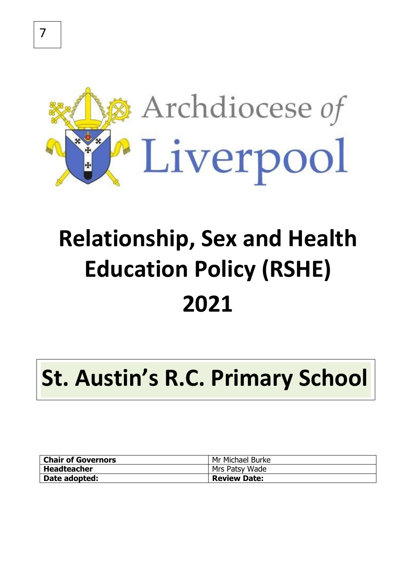

# **Relationship, Sex and Health Education Policy (RSHE) 2021**

# **St. Austin's R.C. Primary School**

| <b>Chair of Governors</b> | Mr Michael Burke    |
|---------------------------|---------------------|
| Headteacher               | Mrs Patsy Wade      |
| Date adopted:             | <b>Review Date:</b> |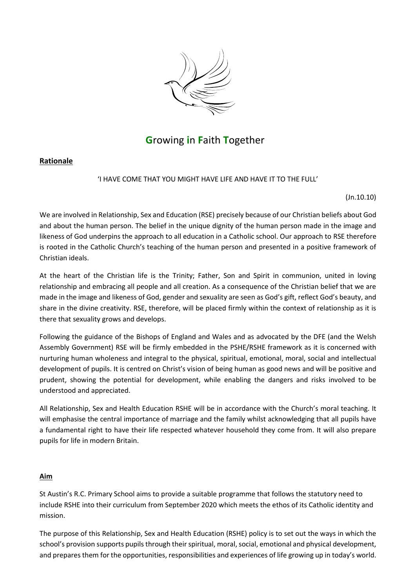

# **G**rowing **i**n **F**aith **T**ogether

## **Rationale**

'I HAVE COME THAT YOU MIGHT HAVE LIFE AND HAVE IT TO THE FULL'

(Jn.10.10)

We are involved in Relationship, Sex and Education (RSE) precisely because of our Christian beliefs about God and about the human person. The belief in the unique dignity of the human person made in the image and likeness of God underpins the approach to all education in a Catholic school. Our approach to RSE therefore is rooted in the Catholic Church's teaching of the human person and presented in a positive framework of Christian ideals.

At the heart of the Christian life is the Trinity; Father, Son and Spirit in communion, united in loving relationship and embracing all people and all creation. As a consequence of the Christian belief that we are made in the image and likeness of God, gender and sexuality are seen as God's gift, reflect God's beauty, and share in the divine creativity. RSE, therefore, will be placed firmly within the context of relationship as it is there that sexuality grows and develops.

Following the guidance of the Bishops of England and Wales and as advocated by the DFE (and the Welsh Assembly Government) RSE will be firmly embedded in the PSHE/RSHE framework as it is concerned with nurturing human wholeness and integral to the physical, spiritual, emotional, moral, social and intellectual development of pupils. It is centred on Christ's vision of being human as good news and will be positive and prudent, showing the potential for development, while enabling the dangers and risks involved to be understood and appreciated.

All Relationship, Sex and Health Education RSHE will be in accordance with the Church's moral teaching. It will emphasise the central importance of marriage and the family whilst acknowledging that all pupils have a fundamental right to have their life respected whatever household they come from. It will also prepare pupils for life in modern Britain.

## **Aim**

St Austin's R.C. Primary School aims to provide a suitable programme that follows the statutory need to include RSHE into their curriculum from September 2020 which meets the ethos of its Catholic identity and mission.

The purpose of this Relationship, Sex and Health Education (RSHE) policy is to set out the ways in which the school's provision supports pupils through their spiritual, moral, social, emotional and physical development, and prepares them for the opportunities, responsibilities and experiences of life growing up in today's world.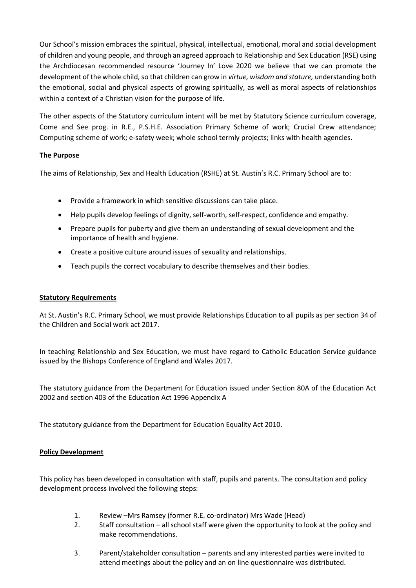Our School's mission embraces the spiritual, physical, intellectual, emotional, moral and social development of children and young people, and through an agreed approach to Relationship and Sex Education (RSE) using the Archdiocesan recommended resource 'Journey In' Love 2020 we believe that we can promote the development of the whole child, so that children can grow in *virtue, wisdom and stature,* understanding both the emotional, social and physical aspects of growing spiritually, as well as moral aspects of relationships within a context of a Christian vision for the purpose of life.

The other aspects of the Statutory curriculum intent will be met by Statutory Science curriculum coverage, Come and See prog. in R.E., P.S.H.E. Association Primary Scheme of work; Crucial Crew attendance; Computing scheme of work; e-safety week; whole school termly projects; links with health agencies.

## **The Purpose**

The aims of Relationship, Sex and Health Education (RSHE) at St. Austin's R.C. Primary School are to:

- Provide a framework in which sensitive discussions can take place.
- Help pupils develop feelings of dignity, self-worth, self-respect, confidence and empathy.
- Prepare pupils for puberty and give them an understanding of sexual development and the importance of health and hygiene.
- Create a positive culture around issues of sexuality and relationships.
- Teach pupils the correct vocabulary to describe themselves and their bodies.

## **Statutory Requirements**

At St. Austin's R.C. Primary School, we must provide Relationships Education to all pupils as per section 34 of the Children and Social work act 2017.

In teaching Relationship and Sex Education, we must have regard to Catholic Education Service guidance issued by the Bishops Conference of England and Wales 2017.

The statutory guidance from the Department for Education issued under Section 80A of the Education Act 2002 and section 403 of the Education Act 1996 Appendix A

The statutory guidance from the Department for Education Equality Act 2010.

## **Policy Development**

This policy has been developed in consultation with staff, pupils and parents. The consultation and policy development process involved the following steps:

- 1. Review –Mrs Ramsey (former R.E. co-ordinator) Mrs Wade (Head)
- 2. Staff consultation all school staff were given the opportunity to look at the policy and make recommendations.
- 3. Parent/stakeholder consultation parents and any interested parties were invited to attend meetings about the policy and an on line questionnaire was distributed.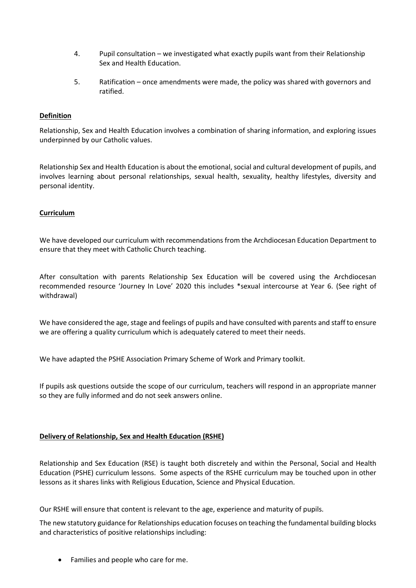- 4. Pupil consultation we investigated what exactly pupils want from their Relationship Sex and Health Education.
- 5. Ratification once amendments were made, the policy was shared with governors and ratified.

## **Definition**

Relationship, Sex and Health Education involves a combination of sharing information, and exploring issues underpinned by our Catholic values.

Relationship Sex and Health Education is about the emotional, social and cultural development of pupils, and involves learning about personal relationships, sexual health, sexuality, healthy lifestyles, diversity and personal identity.

## **Curriculum**

We have developed our curriculum with recommendations from the Archdiocesan Education Department to ensure that they meet with Catholic Church teaching.

After consultation with parents Relationship Sex Education will be covered using the Archdiocesan recommended resource 'Journey In Love' 2020 this includes \*sexual intercourse at Year 6. (See right of withdrawal)

We have considered the age, stage and feelings of pupils and have consulted with parents and staff to ensure we are offering a quality curriculum which is adequately catered to meet their needs.

We have adapted the PSHE Association Primary Scheme of Work and Primary toolkit.

If pupils ask questions outside the scope of our curriculum, teachers will respond in an appropriate manner so they are fully informed and do not seek answers online.

## **Delivery of Relationship, Sex and Health Education (RSHE)**

Relationship and Sex Education (RSE) is taught both discretely and within the Personal, Social and Health Education (PSHE) curriculum lessons. Some aspects of the RSHE curriculum may be touched upon in other lessons as it shares links with Religious Education, Science and Physical Education.

Our RSHE will ensure that content is relevant to the age, experience and maturity of pupils.

The new statutory guidance for Relationships education focuses on teaching the fundamental building blocks and characteristics of positive relationships including:

• Families and people who care for me.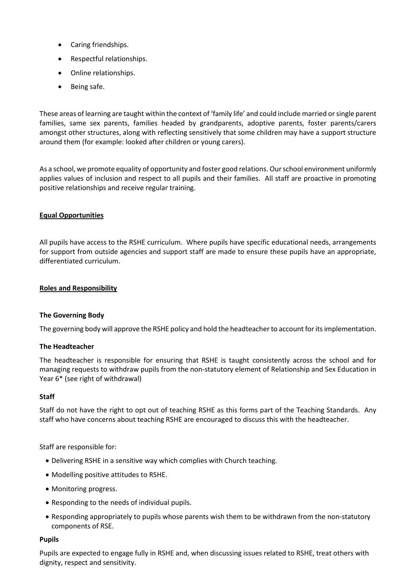- Caring friendships.
- Respectful relationships.
- Online relationships.
- Being safe.

These areas of learning are taught within the context of 'family life' and could include married orsingle parent families, same sex parents, families headed by grandparents, adoptive parents, foster parents/carers amongst other structures, along with reflecting sensitively that some children may have a support structure around them (for example: looked after children or young carers).

As a school, we promote equality of opportunity and foster good relations. Our school environment uniformly applies values of inclusion and respect to all pupils and their families. All staff are proactive in promoting positive relationships and receive regular training.

## **Equal Opportunities**

All pupils have access to the RSHE curriculum. Where pupils have specific educational needs, arrangements for support from outside agencies and support staff are made to ensure these pupils have an appropriate, differentiated curriculum.

## **Roles and Responsibility**

## **The Governing Body**

The governing body will approve the RSHE policy and hold the headteacher to account for its implementation.

## **The Headteacher**

The headteacher is responsible for ensuring that RSHE is taught consistently across the school and for managing requests to withdraw pupils from the non-statutory element of Relationship and Sex Education in Year 6\* (see right of withdrawal)

## **Staff**

Staff do not have the right to opt out of teaching RSHE as this forms part of the Teaching Standards. Any staff who have concerns about teaching RSHE are encouraged to discuss this with the headteacher.

Staff are responsible for:

- Delivering RSHE in a sensitive way which complies with Church teaching.
- Modelling positive attitudes to RSHE.
- Monitoring progress.
- Responding to the needs of individual pupils.
- Responding appropriately to pupils whose parents wish them to be withdrawn from the non-statutory components of RSE.

## **Pupils**

Pupils are expected to engage fully in RSHE and, when discussing issues related to RSHE, treat others with dignity, respect and sensitivity.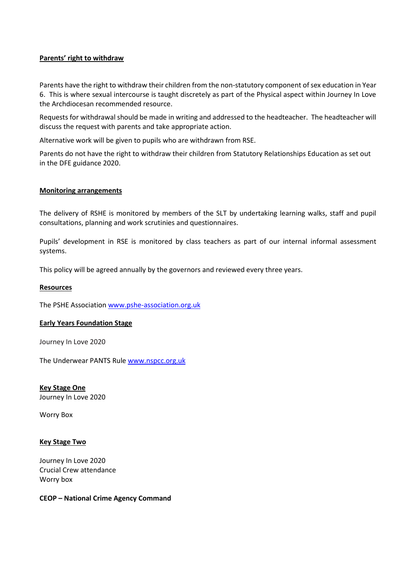## **Parents' right to withdraw**

Parents have the right to withdraw their children from the non-statutory component of sex education in Year 6. This is where sexual intercourse is taught discretely as part of the Physical aspect within Journey In Love the Archdiocesan recommended resource.

Requests for withdrawal should be made in writing and addressed to the headteacher. The headteacher will discuss the request with parents and take appropriate action.

Alternative work will be given to pupils who are withdrawn from RSE.

Parents do not have the right to withdraw their children from Statutory Relationships Education as set out in the DFE guidance 2020.

## **Monitoring arrangements**

The delivery of RSHE is monitored by members of the SLT by undertaking learning walks, staff and pupil consultations, planning and work scrutinies and questionnaires.

Pupils' development in RSE is monitored by class teachers as part of our internal informal assessment systems.

This policy will be agreed annually by the governors and reviewed every three years.

#### **Resources**

The PSHE Associatio[n www.pshe-association.org.uk](http://www.pshe-association.org.uk/)

## **Early Years Foundation Stage**

Journey In Love 2020

The Underwear PANTS Rule [www.nspcc.org.uk](http://www.nspcc.org.uk/)

**Key Stage One** Journey In Love 2020

Worry Box

## **Key Stage Two**

Journey In Love 2020 Crucial Crew attendance Worry box

#### **CEOP – National Crime Agency Command**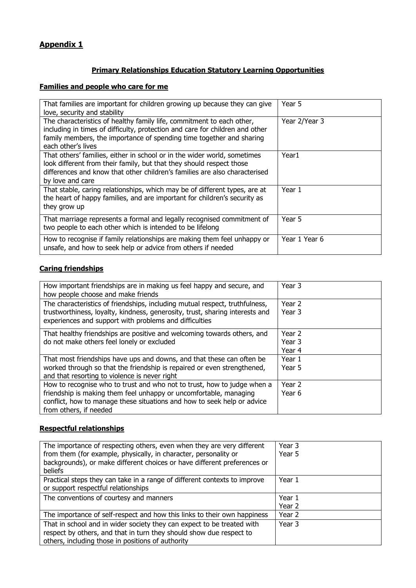# **Appendix 1**

# **Primary Relationships Education Statutory Learning Opportunities**

# **Families and people who care for me**

| That families are important for children growing up because they can give<br>love, security and stability                                                                                                                                           | Year 5        |
|-----------------------------------------------------------------------------------------------------------------------------------------------------------------------------------------------------------------------------------------------------|---------------|
| The characteristics of healthy family life, commitment to each other,<br>including in times of difficulty, protection and care for children and other<br>family members, the importance of spending time together and sharing<br>each other's lives | Year 2/Year 3 |
| That others' families, either in school or in the wider world, sometimes<br>look different from their family, but that they should respect those<br>differences and know that other children's families are also characterised<br>by love and care  | Year1         |
| That stable, caring relationships, which may be of different types, are at<br>the heart of happy families, and are important for children's security as<br>they grow up                                                                             | Year 1        |
| That marriage represents a formal and legally recognised commitment of<br>two people to each other which is intended to be lifelong                                                                                                                 | Year 5        |
| How to recognise if family relationships are making them feel unhappy or<br>unsafe, and how to seek help or advice from others if needed                                                                                                            | Year 1 Year 6 |

# **Caring friendships**

| How important friendships are in making us feel happy and secure, and<br>how people choose and make friends                                                                                                                                       | Year 3                     |
|---------------------------------------------------------------------------------------------------------------------------------------------------------------------------------------------------------------------------------------------------|----------------------------|
| The characteristics of friendships, including mutual respect, truthfulness,<br>trustworthiness, loyalty, kindness, generosity, trust, sharing interests and<br>experiences and support with problems and difficulties                             | Year 2<br>Year 3           |
| That healthy friendships are positive and welcoming towards others, and<br>do not make others feel lonely or excluded                                                                                                                             | Year 2<br>Year 3<br>Year 4 |
| That most friendships have ups and downs, and that these can often be<br>worked through so that the friendship is repaired or even strengthened,<br>and that resorting to violence is never right                                                 | Year 1<br>Year 5           |
| How to recognise who to trust and who not to trust, how to judge when a<br>friendship is making them feel unhappy or uncomfortable, managing<br>conflict, how to manage these situations and how to seek help or advice<br>from others, if needed | Year 2<br>Year 6           |

## **Respectful relationships**

| The importance of respecting others, even when they are very different    | Year 3 |
|---------------------------------------------------------------------------|--------|
| from them (for example, physically, in character, personality or          | Year 5 |
| backgrounds), or make different choices or have different preferences or  |        |
| beliefs                                                                   |        |
| Practical steps they can take in a range of different contexts to improve | Year 1 |
| or support respectful relationships                                       |        |
| The conventions of courtesy and manners                                   | Year 1 |
|                                                                           | Year 2 |
| The importance of self-respect and how this links to their own happiness  | Year 2 |
| That in school and in wider society they can expect to be treated with    | Year 3 |
| respect by others, and that in turn they should show due respect to       |        |
| others, including those in positions of authority                         |        |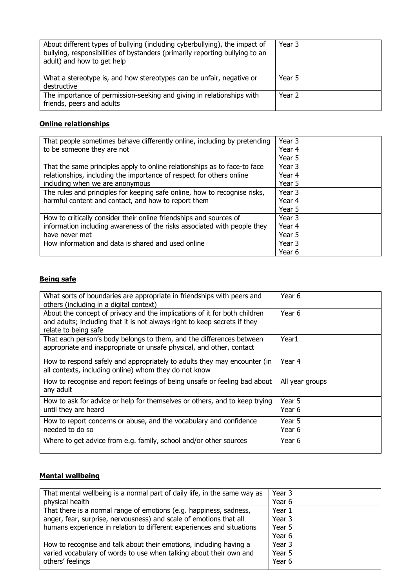| About different types of bullying (including cyberbullying), the impact of<br>bullying, responsibilities of bystanders (primarily reporting bullying to an<br>adult) and how to get help | Year 3 |
|------------------------------------------------------------------------------------------------------------------------------------------------------------------------------------------|--------|
| What a stereotype is, and how stereotypes can be unfair, negative or                                                                                                                     | Year 5 |
| destructive                                                                                                                                                                              |        |
| The importance of permission-seeking and giving in relationships with<br>friends, peers and adults                                                                                       | Year 2 |

# **Online relationships**

| That people sometimes behave differently online, including by pretending  | Year 3 |
|---------------------------------------------------------------------------|--------|
| to be someone they are not                                                | Year 4 |
|                                                                           | Year 5 |
| That the same principles apply to online relationships as to face-to face | Year 3 |
| relationships, including the importance of respect for others online      | Year 4 |
| including when we are anonymous                                           | Year 5 |
| The rules and principles for keeping safe online, how to recognise risks, | Year 3 |
| harmful content and contact, and how to report them                       | Year 4 |
|                                                                           | Year 5 |
| How to critically consider their online friendships and sources of        | Year 3 |
| information including awareness of the risks associated with people they  | Year 4 |
| have never met                                                            | Year 5 |
| How information and data is shared and used online                        | Year 3 |
|                                                                           | Year 6 |

## **Being safe**

| What sorts of boundaries are appropriate in friendships with peers and<br>others (including in a digital context)                                                              | Year 6           |
|--------------------------------------------------------------------------------------------------------------------------------------------------------------------------------|------------------|
| About the concept of privacy and the implications of it for both children<br>and adults; including that it is not always right to keep secrets if they<br>relate to being safe | Year 6           |
| That each person's body belongs to them, and the differences between<br>appropriate and inappropriate or unsafe physical, and other, contact                                   | Year1            |
| How to respond safely and appropriately to adults they may encounter (in<br>all contexts, including online) whom they do not know                                              | Year 4           |
| How to recognise and report feelings of being unsafe or feeling bad about<br>any adult                                                                                         | All year groups  |
| How to ask for advice or help for themselves or others, and to keep trying<br>until they are heard                                                                             | Year 5<br>Year 6 |
| How to report concerns or abuse, and the vocabulary and confidence<br>needed to do so                                                                                          | Year 5<br>Year 6 |
| Where to get advice from e.g. family, school and/or other sources                                                                                                              | Year 6           |

# **Mental wellbeing**

| That mental wellbeing is a normal part of daily life, in the same way as | Year 3 |
|--------------------------------------------------------------------------|--------|
| physical health                                                          | Year 6 |
| That there is a normal range of emotions (e.g. happiness, sadness,       | Year 1 |
| anger, fear, surprise, nervousness) and scale of emotions that all       | Year 3 |
| humans experience in relation to different experiences and situations    | Year 5 |
|                                                                          | Year 6 |
| How to recognise and talk about their emotions, including having a       | Year 3 |
| varied vocabulary of words to use when talking about their own and       | Year 5 |
| others' feelings                                                         | Year 6 |
|                                                                          |        |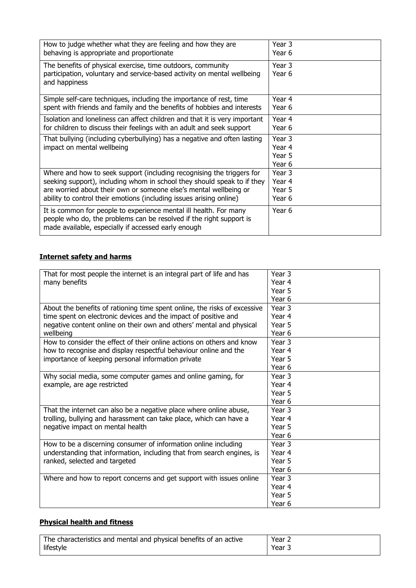| How to judge whether what they are feeling and how they are<br>behaving is appropriate and proportionate<br>The benefits of physical exercise, time outdoors, community<br>participation, voluntary and service-based activity on mental wellbeing<br>and happiness | Year 3<br>Year 6<br>Year 3<br>Year 6 |
|---------------------------------------------------------------------------------------------------------------------------------------------------------------------------------------------------------------------------------------------------------------------|--------------------------------------|
| Simple self-care techniques, including the importance of rest, time                                                                                                                                                                                                 | Year 4                               |
| spent with friends and family and the benefits of hobbies and interests                                                                                                                                                                                             | Year 6                               |
| Isolation and loneliness can affect children and that it is very important                                                                                                                                                                                          | Year 4                               |
| for children to discuss their feelings with an adult and seek support                                                                                                                                                                                               | Year 6                               |
| That bullying (including cyberbullying) has a negative and often lasting<br>impact on mental wellbeing                                                                                                                                                              | Year 3<br>Year 4<br>Year 5<br>Year 6 |
| Where and how to seek support (including recognising the triggers for                                                                                                                                                                                               | Year 3                               |
| seeking support), including whom in school they should speak to if they                                                                                                                                                                                             | Year 4                               |
| are worried about their own or someone else's mental wellbeing or                                                                                                                                                                                                   | Year 5                               |
| ability to control their emotions (including issues arising online)                                                                                                                                                                                                 | Year 6                               |
| It is common for people to experience mental ill health. For many<br>people who do, the problems can be resolved if the right support is<br>made available, especially if accessed early enough                                                                     | Year 6                               |

# **Internet safety and harms**

| That for most people the internet is an integral part of life and has     | Year 3            |
|---------------------------------------------------------------------------|-------------------|
| many benefits                                                             | Year <sub>4</sub> |
|                                                                           | Year 5            |
|                                                                           | Year <sub>6</sub> |
| About the benefits of rationing time spent online, the risks of excessive | Year 3            |
| time spent on electronic devices and the impact of positive and           | Year 4            |
| negative content online on their own and others' mental and physical      | Year 5            |
| wellbeing                                                                 | Year 6            |
| How to consider the effect of their online actions on others and know     | Year 3            |
| how to recognise and display respectful behaviour online and the          | Year 4            |
| importance of keeping personal information private                        | Year 5            |
|                                                                           | Year 6            |
| Why social media, some computer games and online gaming, for              | Year 3            |
| example, are age restricted                                               | Year 4            |
|                                                                           | Year 5            |
|                                                                           | Year 6            |
| That the internet can also be a negative place where online abuse,        | Year 3            |
| trolling, bullying and harassment can take place, which can have a        | Year 4            |
| negative impact on mental health                                          | Year 5            |
|                                                                           | Year <sub>6</sub> |
| How to be a discerning consumer of information online including           | Year 3            |
| understanding that information, including that from search engines, is    | Year 4            |
| ranked, selected and targeted                                             | Year 5            |
|                                                                           | Year 6            |
| Where and how to report concerns and get support with issues online       | Year 3            |
|                                                                           | Year 4            |
|                                                                           | Year 5            |
|                                                                           | Year 6            |

# **Physical health and fitness**

| The characteristics and mental and physical benefits of an active | Year 2 |
|-------------------------------------------------------------------|--------|
| lifestyle                                                         | Year 3 |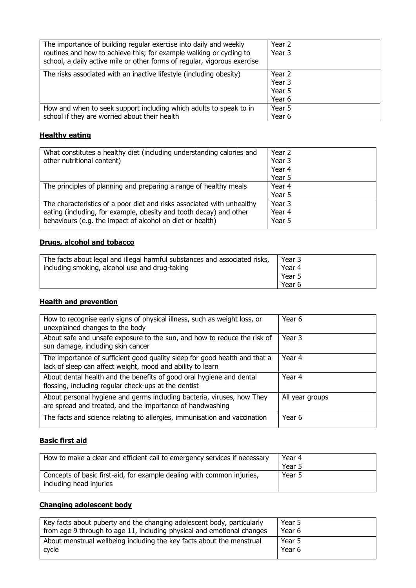| The importance of building regular exercise into daily and weekly<br>routines and how to achieve this; for example walking or cycling to<br>school, a daily active mile or other forms of regular, vigorous exercise | Year 2<br>Year 3                     |
|----------------------------------------------------------------------------------------------------------------------------------------------------------------------------------------------------------------------|--------------------------------------|
| The risks associated with an inactive lifestyle (including obesity)                                                                                                                                                  | Year 2<br>Year 3<br>Year 5<br>Year 6 |
| How and when to seek support including which adults to speak to in<br>school if they are worried about their health                                                                                                  | Year 5<br>Year 6                     |

# **Healthy eating**

| What constitutes a healthy diet (including understanding calories and  | Year 2 |
|------------------------------------------------------------------------|--------|
| other nutritional content)                                             | Year 3 |
|                                                                        | Year 4 |
|                                                                        | Year 5 |
| The principles of planning and preparing a range of healthy meals      | Year 4 |
|                                                                        | Year 5 |
| The characteristics of a poor diet and risks associated with unhealthy | Year 3 |
| eating (including, for example, obesity and tooth decay) and other     | Year 4 |
| behaviours (e.g. the impact of alcohol on diet or health)              | Year 5 |
|                                                                        |        |

# **Drugs, alcohol and tobacco**

| The facts about legal and illegal harmful substances and associated risks,<br>Year 3<br>Year 4<br>including smoking, alcohol use and drug-taking |  |
|--------------------------------------------------------------------------------------------------------------------------------------------------|--|
| Year 5<br>Year 6                                                                                                                                 |  |

# **Health and prevention**

| How to recognise early signs of physical illness, such as weight loss, or<br>unexplained changes to the body                             | Year 6          |
|------------------------------------------------------------------------------------------------------------------------------------------|-----------------|
| About safe and unsafe exposure to the sun, and how to reduce the risk of<br>sun damage, including skin cancer                            | Year 3          |
| The importance of sufficient good quality sleep for good health and that a<br>lack of sleep can affect weight, mood and ability to learn | Year 4          |
| About dental health and the benefits of good oral hygiene and dental<br>flossing, including regular check-ups at the dentist             | Year 4          |
| About personal hygiene and germs including bacteria, viruses, how They<br>are spread and treated, and the importance of handwashing      | All year groups |
| The facts and science relating to allergies, immunisation and vaccination                                                                | Year 6          |

# **Basic first aid**

| How to make a clear and efficient call to emergency services if necessary                         | Year 4<br>Year 5 |
|---------------------------------------------------------------------------------------------------|------------------|
| Concepts of basic first-aid, for example dealing with common injuries,<br>including head injuries | Year 5           |

# **Changing adolescent body**

| Key facts about puberty and the changing adolescent body, particularly | Year 5 |
|------------------------------------------------------------------------|--------|
| from age 9 through to age 11, including physical and emotional changes | Year 6 |
| About menstrual wellbeing including the key facts about the menstrual  | Year 5 |
| cycle                                                                  | Year 6 |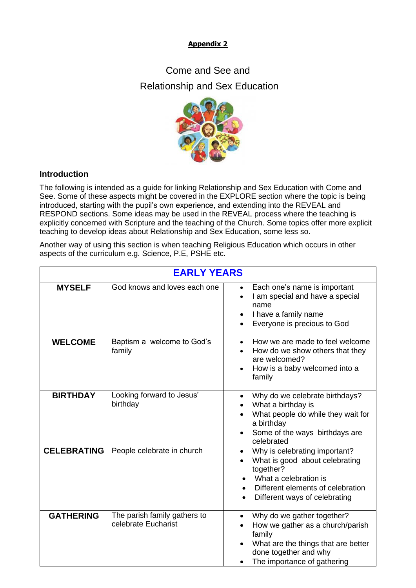# **Appendix 2**

# Come and See and Relationship and Sex Education



## **Introduction**

The following is intended as a guide for linking Relationship and Sex Education with Come and See. Some of these aspects might be covered in the EXPLORE section where the topic is being introduced, starting with the pupil's own experience, and extending into the REVEAL and RESPOND sections. Some ideas may be used in the REVEAL process where the teaching is explicitly concerned with Scripture and the teaching of the Church. Some topics offer more explicit teaching to develop ideas about Relationship and Sex Education, some less so.

Another way of using this section is when teaching Religious Education which occurs in other aspects of the curriculum e.g. Science, P.E, PSHE etc.

| <b>EARLY YEARS</b> |                                                     |                                                                                                                                                                             |
|--------------------|-----------------------------------------------------|-----------------------------------------------------------------------------------------------------------------------------------------------------------------------------|
| <b>MYSELF</b>      | God knows and loves each one                        | Each one's name is important<br>I am special and have a special<br>name<br>I have a family name<br>Everyone is precious to God                                              |
| <b>WELCOME</b>     | Baptism a welcome to God's<br>family                | How we are made to feel welcome<br>How do we show others that they<br>are welcomed?<br>How is a baby welcomed into a<br>family                                              |
| <b>BIRTHDAY</b>    | Looking forward to Jesus'<br>birthday               | Why do we celebrate birthdays?<br>What a birthday is<br>What people do while they wait for<br>a birthday<br>Some of the ways birthdays are<br>celebrated                    |
| <b>CELEBRATING</b> | People celebrate in church                          | Why is celebrating important?<br>What is good about celebrating<br>together?<br>What a celebration is<br>Different elements of celebration<br>Different ways of celebrating |
| <b>GATHERING</b>   | The parish family gathers to<br>celebrate Eucharist | Why do we gather together?<br>How we gather as a church/parish<br>family<br>What are the things that are better<br>done together and why<br>The importance of gathering     |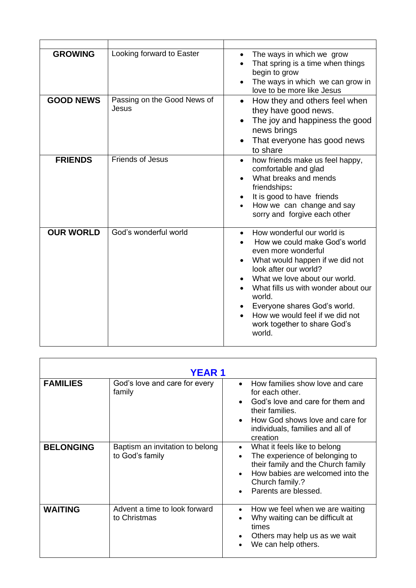| <b>GROWING</b>   | Looking forward to Easter            | The ways in which we grow<br>$\bullet$<br>That spring is a time when things<br>begin to grow<br>The ways in which we can grow in<br>$\bullet$<br>love to be more like Jesus                                                                                                                                                                                             |
|------------------|--------------------------------------|-------------------------------------------------------------------------------------------------------------------------------------------------------------------------------------------------------------------------------------------------------------------------------------------------------------------------------------------------------------------------|
| <b>GOOD NEWS</b> | Passing on the Good News of<br>Jesus | How they and others feel when<br>$\bullet$<br>they have good news.<br>The joy and happiness the good<br>news brings<br>That everyone has good news<br>to share                                                                                                                                                                                                          |
| <b>FRIENDS</b>   | <b>Friends of Jesus</b>              | how friends make us feel happy,<br>$\bullet$<br>comfortable and glad<br>What breaks and mends<br>friendships:<br>It is good to have friends<br>How we can change and say<br>sorry and forgive each other                                                                                                                                                                |
| <b>OUR WORLD</b> | God's wonderful world                | How wonderful our world is<br>$\bullet$<br>How we could make God's world<br>even more wonderful<br>What would happen if we did not<br>$\bullet$<br>look after our world?<br>What we love about our world.<br>What fills us with wonder about our<br>world.<br>Everyone shares God's world.<br>How we would feel if we did not<br>work together to share God's<br>world. |

| <b>YEAR 1</b>    |                                                    |                                                                                                                                                                                                                            |
|------------------|----------------------------------------------------|----------------------------------------------------------------------------------------------------------------------------------------------------------------------------------------------------------------------------|
| <b>FAMILIES</b>  | God's love and care for every<br>family            | How families show love and care<br>$\bullet$<br>for each other.<br>God's love and care for them and<br>their families.<br>How God shows love and care for<br>$\bullet$<br>individuals, families and all of<br>creation     |
| <b>BELONGING</b> | Baptism an invitation to belong<br>to God's family | What it feels like to belong<br>$\bullet$<br>The experience of belonging to<br>$\bullet$<br>their family and the Church family<br>How babies are welcomed into the<br>Church family.?<br>Parents are blessed.<br>$\bullet$ |
| <b>WAITING</b>   | Advent a time to look forward<br>to Christmas      | How we feel when we are waiting<br>$\bullet$<br>Why waiting can be difficult at<br>times<br>Others may help us as we wait<br>We can help others.                                                                           |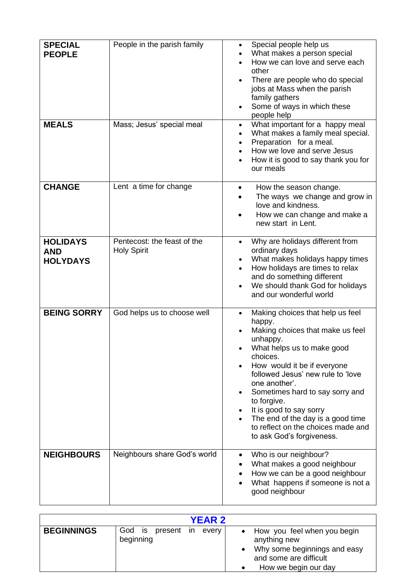| <b>SPECIAL</b><br><b>PEOPLE</b><br><b>MEALS</b>  | People in the parish family<br>Mass; Jesus' special meal | Special people help us<br>$\bullet$<br>What makes a person special<br>How we can love and serve each<br>other<br>There are people who do special<br>$\bullet$<br>jobs at Mass when the parish<br>family gathers<br>Some of ways in which these<br>$\bullet$<br>people help<br>What important for a happy meal<br>$\bullet$                                                                                                                            |
|--------------------------------------------------|----------------------------------------------------------|-------------------------------------------------------------------------------------------------------------------------------------------------------------------------------------------------------------------------------------------------------------------------------------------------------------------------------------------------------------------------------------------------------------------------------------------------------|
|                                                  |                                                          | What makes a family meal special.<br>$\bullet$<br>Preparation for a meal.<br>How we love and serve Jesus<br>How it is good to say thank you for<br>our meals                                                                                                                                                                                                                                                                                          |
| <b>CHANGE</b>                                    | Lent a time for change                                   | How the season change.<br>The ways we change and grow in<br>love and kindness.<br>How we can change and make a<br>new start in Lent.                                                                                                                                                                                                                                                                                                                  |
| <b>HOLIDAYS</b><br><b>AND</b><br><b>HOLYDAYS</b> | Pentecost: the feast of the<br><b>Holy Spirit</b>        | Why are holidays different from<br>$\bullet$<br>ordinary days<br>What makes holidays happy times<br>$\bullet$<br>How holidays are times to relax<br>and do something different<br>We should thank God for holidays<br>$\bullet$<br>and our wonderful world                                                                                                                                                                                            |
| <b>BEING SORRY</b>                               | God helps us to choose well                              | Making choices that help us feel<br>$\bullet$<br>happy.<br>Making choices that make us feel<br>unhappy.<br>What helps us to make good<br>choices.<br>How would it be if everyone<br>followed Jesus' new rule to 'love<br>one another'.<br>Sometimes hard to say sorry and<br>to forgive.<br>It is good to say sorry<br>$\bullet$<br>The end of the day is a good time<br>$\bullet$<br>to reflect on the choices made and<br>to ask God's forgiveness. |
| <b>NEIGHBOURS</b>                                | Neighbours share God's world                             | Who is our neighbour?<br>$\bullet$<br>What makes a good neighbour<br>٠<br>How we can be a good neighbour<br>What happens if someone is not a<br>good neighbour                                                                                                                                                                                                                                                                                        |

| <b>YEAR 2</b>     |                                      |                                                                                                                                 |  |
|-------------------|--------------------------------------|---------------------------------------------------------------------------------------------------------------------------------|--|
| <b>BEGINNINGS</b> | God is present in every<br>beginning | • How you feel when you begin<br>anything new<br>Why some beginnings and easy<br>and some are difficult<br>How we begin our day |  |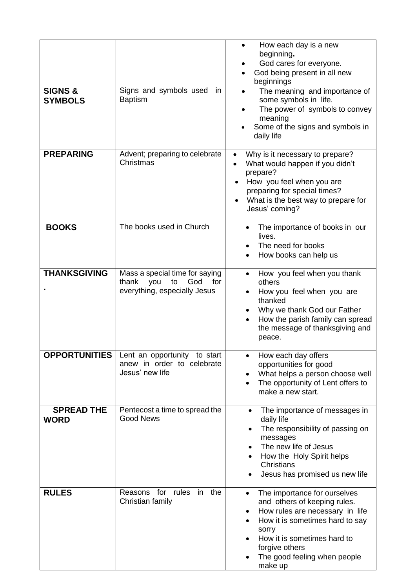| <b>SIGNS &amp;</b><br><b>SYMBOLS</b> | Signs and symbols used<br>in.<br><b>Baptism</b>                                                    | How each day is a new<br>beginning.<br>God cares for everyone.<br>God being present in all new<br>beginnings<br>The meaning and importance of<br>$\bullet$<br>some symbols in life.<br>The power of symbols to convey<br>meaning<br>Some of the signs and symbols in<br>daily life |
|--------------------------------------|----------------------------------------------------------------------------------------------------|------------------------------------------------------------------------------------------------------------------------------------------------------------------------------------------------------------------------------------------------------------------------------------|
| <b>PREPARING</b>                     | Advent; preparing to celebrate<br>Christmas                                                        | Why is it necessary to prepare?<br>$\bullet$<br>What would happen if you didn't<br>prepare?<br>How you feel when you are<br>$\bullet$<br>preparing for special times?<br>What is the best way to prepare for<br>Jesus' coming?                                                     |
| <b>BOOKS</b>                         | The books used in Church                                                                           | The importance of books in our<br>$\bullet$<br>lives.<br>The need for books<br>How books can help us                                                                                                                                                                               |
| <b>THANKSGIVING</b>                  | Mass a special time for saying<br>God<br>for<br>thank<br>you<br>to<br>everything, especially Jesus | How you feel when you thank<br>others<br>How you feel when you are<br>thanked<br>Why we thank God our Father<br>How the parish family can spread<br>the message of thanksgiving and<br>peace.                                                                                      |
| <b>OPPORTUNITIES</b>                 | Lent an opportunity to start<br>anew in order to celebrate<br>Jesus' new life                      | How each day offers<br>opportunities for good<br>What helps a person choose well<br>The opportunity of Lent offers to<br>$\bullet$<br>make a new start.                                                                                                                            |
| <b>SPREAD THE</b><br><b>WORD</b>     | Pentecost a time to spread the<br><b>Good News</b>                                                 | The importance of messages in<br>$\bullet$<br>daily life<br>The responsibility of passing on<br>$\bullet$<br>messages<br>The new life of Jesus<br>How the Holy Spirit helps<br>Christians<br>Jesus has promised us new life                                                        |
| <b>RULES</b>                         | Reasons for rules<br>in the<br>Christian family                                                    | The importance for ourselves<br>and others of keeping rules.<br>How rules are necessary in life<br>٠<br>How it is sometimes hard to say<br>sorry<br>How it is sometimes hard to<br>forgive others<br>The good feeling when people<br>make up                                       |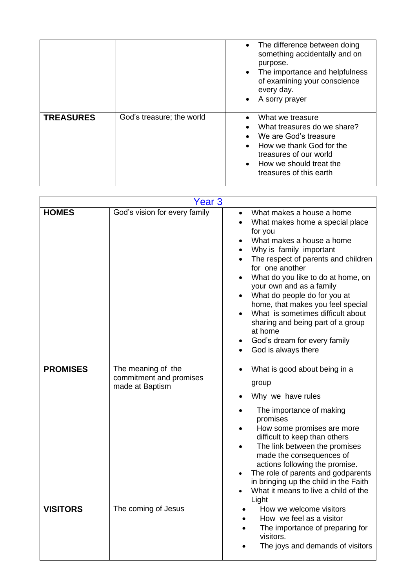|                  |                           | The difference between doing<br>something accidentally and on<br>purpose.<br>The importance and helpfulness<br>$\bullet$<br>of examining your conscience<br>every day.<br>A sorry prayer |
|------------------|---------------------------|------------------------------------------------------------------------------------------------------------------------------------------------------------------------------------------|
| <b>TREASURES</b> | God's treasure; the world | What we treasure<br>What treasures do we share?<br>We are God's treasure<br>How we thank God for the<br>treasures of our world<br>How we should treat the<br>treasures of this earth     |

| Year 3          |                                                                  |                                                                                                                                                                                                                                                                                                                                                                                                                                                                                           |  |
|-----------------|------------------------------------------------------------------|-------------------------------------------------------------------------------------------------------------------------------------------------------------------------------------------------------------------------------------------------------------------------------------------------------------------------------------------------------------------------------------------------------------------------------------------------------------------------------------------|--|
| <b>HOMES</b>    | God's vision for every family                                    | What makes a house a home<br>What makes home a special place<br>$\bullet$<br>for you<br>What makes a house a home<br>Why is family important<br>The respect of parents and children<br>for one another<br>What do you like to do at home, on<br>your own and as a family<br>What do people do for you at<br>home, that makes you feel special<br>What is sometimes difficult about<br>sharing and being part of a group<br>at home<br>God's dream for every family<br>God is always there |  |
| <b>PROMISES</b> | The meaning of the<br>commitment and promises<br>made at Baptism | What is good about being in a<br>group<br>Why we have rules<br>The importance of making<br>promises<br>How some promises are more<br>difficult to keep than others<br>The link between the promises<br>made the consequences of<br>actions following the promise.<br>The role of parents and godparents<br>in bringing up the child in the Faith<br>What it means to live a child of the<br>$\bullet$<br>Light                                                                            |  |
| <b>VISITORS</b> | The coming of Jesus                                              | How we welcome visitors<br>$\bullet$<br>How we feel as a visitor<br>The importance of preparing for<br>visitors.<br>The joys and demands of visitors                                                                                                                                                                                                                                                                                                                                      |  |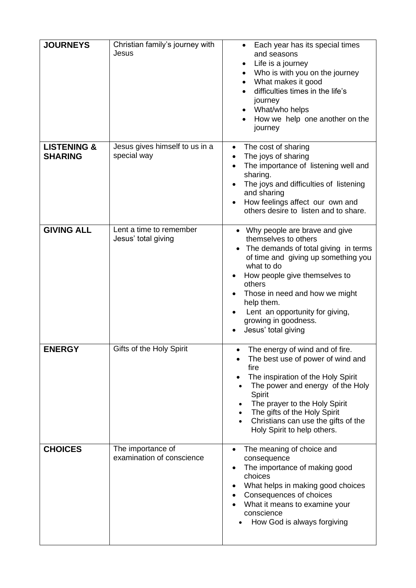| <b>JOURNEYS</b>                          | Christian family's journey with<br>Jesus       | Each year has its special times<br>and seasons<br>Life is a journey<br>٠<br>Who is with you on the journey<br>$\bullet$<br>What makes it good<br>$\bullet$<br>difficulties times in the life's<br>journey<br>What/who helps<br>How we help one another on the<br>journey                                                                       |
|------------------------------------------|------------------------------------------------|------------------------------------------------------------------------------------------------------------------------------------------------------------------------------------------------------------------------------------------------------------------------------------------------------------------------------------------------|
| <b>LISTENING &amp;</b><br><b>SHARING</b> | Jesus gives himself to us in a<br>special way  | The cost of sharing<br>$\bullet$<br>The joys of sharing<br>$\bullet$<br>The importance of listening well and<br>$\bullet$<br>sharing.<br>The joys and difficulties of listening<br>and sharing<br>How feelings affect our own and<br>others desire to listen and to share.                                                                     |
| <b>GIVING ALL</b>                        | Lent a time to remember<br>Jesus' total giving | • Why people are brave and give<br>themselves to others<br>The demands of total giving in terms<br>$\bullet$<br>of time and giving up something you<br>what to do<br>How people give themselves to<br>others<br>Those in need and how we might<br>help them.<br>Lent an opportunity for giving,<br>growing in goodness.<br>Jesus' total giving |
| <b>ENERGY</b>                            | Gifts of the Holy Spirit                       | • The energy of wind and of fire<br>The best use of power of wind and<br>fire<br>The inspiration of the Holy Spirit<br>The power and energy of the Holy<br>Spirit<br>The prayer to the Holy Spirit<br>The gifts of the Holy Spirit<br>Christians can use the gifts of the<br>Holy Spirit to help others.                                       |
| <b>CHOICES</b>                           | The importance of<br>examination of conscience | The meaning of choice and<br>consequence<br>The importance of making good<br>choices<br>What helps in making good choices<br>Consequences of choices<br>What it means to examine your<br>conscience<br>How God is always forgiving                                                                                                             |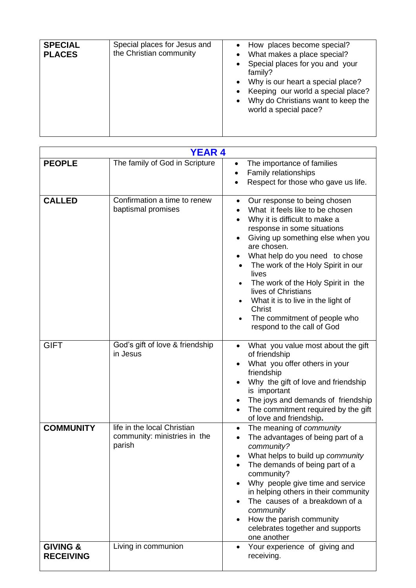| <b>SPECIAL</b><br>Special places for Jesus and<br>the Christian community<br><b>PLACES</b> | • How places become special?<br>What makes a place special?<br>Special places for you and your<br>family?<br>Why is our heart a special place?<br>$\bullet$<br>Keeping our world a special place?<br>Why do Christians want to keep the<br>$\bullet$<br>world a special pace? |
|--------------------------------------------------------------------------------------------|-------------------------------------------------------------------------------------------------------------------------------------------------------------------------------------------------------------------------------------------------------------------------------|
|--------------------------------------------------------------------------------------------|-------------------------------------------------------------------------------------------------------------------------------------------------------------------------------------------------------------------------------------------------------------------------------|

| <b>YEAR 4</b>                           |                                                                       |                                                                                                                                                                                                                                                                                                                                                                                                                                                                           |  |
|-----------------------------------------|-----------------------------------------------------------------------|---------------------------------------------------------------------------------------------------------------------------------------------------------------------------------------------------------------------------------------------------------------------------------------------------------------------------------------------------------------------------------------------------------------------------------------------------------------------------|--|
| <b>PEOPLE</b>                           | The family of God in Scripture                                        | The importance of families<br>٠<br>Family relationships<br>$\bullet$<br>Respect for those who gave us life.                                                                                                                                                                                                                                                                                                                                                               |  |
| <b>CALLED</b>                           | Confirmation a time to renew<br>baptismal promises                    | Our response to being chosen<br>$\bullet$<br>What it feels like to be chosen<br>Why it is difficult to make a<br>response in some situations<br>Giving up something else when you<br>are chosen.<br>What help do you need to chose<br>The work of the Holy Spirit in our<br>lives<br>The work of the Holy Spirit in the<br>lives of Christians<br>What it is to live in the light of<br>Christ<br>The commitment of people who<br>$\bullet$<br>respond to the call of God |  |
| <b>GIFT</b>                             | God's gift of love & friendship<br>in Jesus                           | What you value most about the gift<br>of friendship<br>What you offer others in your<br>friendship<br>Why the gift of love and friendship<br>is important<br>The joys and demands of friendship<br>The commitment required by the gift<br>of love and friendship.                                                                                                                                                                                                         |  |
| <b>COMMUNITY</b>                        | life in the local Christian<br>community: ministries in the<br>parish | The meaning of community<br>$\bullet$<br>The advantages of being part of a<br>community?<br>What helps to build up community<br>The demands of being part of a<br>community?<br>Why people give time and service<br>in helping others in their community<br>The causes of a breakdown of a<br>community<br>How the parish community<br>celebrates together and supports<br>one another                                                                                    |  |
| <b>GIVING &amp;</b><br><b>RECEIVING</b> | Living in communion                                                   | Your experience of giving and<br>receiving.                                                                                                                                                                                                                                                                                                                                                                                                                               |  |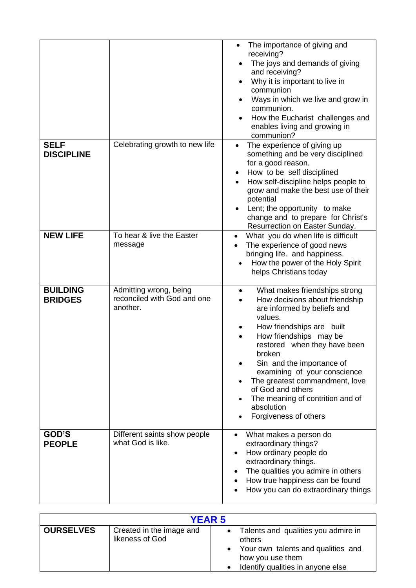|                                   |                                                                   | The importance of giving and<br>receiving?<br>The joys and demands of giving<br>and receiving?<br>Why it is important to live in<br>$\bullet$<br>communion<br>Ways in which we live and grow in<br>communion.<br>How the Eucharist challenges and<br>enables living and growing in<br>communion?                                                                                                                                    |
|-----------------------------------|-------------------------------------------------------------------|-------------------------------------------------------------------------------------------------------------------------------------------------------------------------------------------------------------------------------------------------------------------------------------------------------------------------------------------------------------------------------------------------------------------------------------|
| <b>SELF</b><br><b>DISCIPLINE</b>  | Celebrating growth to new life                                    | The experience of giving up<br>something and be very disciplined<br>for a good reason.<br>How to be self disciplined<br>$\bullet$<br>How self-discipline helps people to<br>grow and make the best use of their<br>potential<br>Lent; the opportunity to make<br>change and to prepare for Christ's<br>Resurrection on Easter Sunday.                                                                                               |
| <b>NEW LIFE</b>                   | To hear & live the Easter<br>message                              | What you do when life is difficult<br>$\bullet$<br>The experience of good news<br>bringing life. and happiness.<br>How the power of the Holy Spirit<br>helps Christians today                                                                                                                                                                                                                                                       |
| <b>BUILDING</b><br><b>BRIDGES</b> | Admitting wrong, being<br>reconciled with God and one<br>another. | What makes friendships strong<br>$\bullet$<br>How decisions about friendship<br>$\bullet$<br>are informed by beliefs and<br>values.<br>How friendships are built<br>How friendships may be<br>restored when they have been<br>broken<br>Sin and the importance of<br>examining of your conscience<br>The greatest commandment, love<br>of God and others<br>The meaning of contrition and of<br>absolution<br>Forgiveness of others |
| GOD'S<br><b>PEOPLE</b>            | Different saints show people<br>what God is like.                 | What makes a person do<br>extraordinary things?<br>How ordinary people do<br>$\bullet$<br>extraordinary things.<br>The qualities you admire in others<br>$\bullet$<br>How true happiness can be found<br>How you can do extraordinary things                                                                                                                                                                                        |

| <b>YEAR 5</b>    |                                             |                                                                                                                                                             |  |
|------------------|---------------------------------------------|-------------------------------------------------------------------------------------------------------------------------------------------------------------|--|
| <b>OURSELVES</b> | Created in the image and<br>likeness of God | Talents and qualities you admire in<br>$\bullet$<br>others<br>• Your own talents and qualities and<br>how you use them<br>Identify qualities in anyone else |  |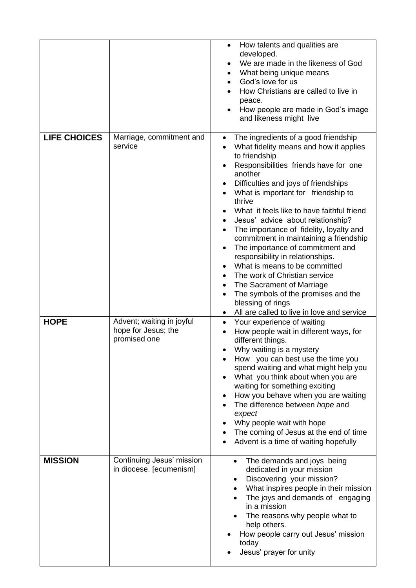|                     |                                                                  | How talents and qualities are<br>developed.<br>We are made in the likeness of God<br>What being unique means<br>٠<br>God's love for us<br>How Christians are called to live in<br>peace.<br>How people are made in God's image<br>and likeness might live                                                                                                                                                                                                                                                                                                                                                                                                                                                          |
|---------------------|------------------------------------------------------------------|--------------------------------------------------------------------------------------------------------------------------------------------------------------------------------------------------------------------------------------------------------------------------------------------------------------------------------------------------------------------------------------------------------------------------------------------------------------------------------------------------------------------------------------------------------------------------------------------------------------------------------------------------------------------------------------------------------------------|
| <b>LIFE CHOICES</b> | Marriage, commitment and<br>service                              | The ingredients of a good friendship<br>$\bullet$<br>What fidelity means and how it applies<br>to friendship<br>Responsibilities friends have for one<br>another<br>Difficulties and joys of friendships<br>What is important for friendship to<br>thrive<br>What it feels like to have faithful friend<br>Jesus' advice about relationship?<br>The importance of fidelity, loyalty and<br>commitment in maintaining a friendship<br>The importance of commitment and<br>responsibility in relationships.<br>What is means to be committed<br>The work of Christian service<br>The Sacrament of Marriage<br>The symbols of the promises and the<br>blessing of rings<br>All are called to live in love and service |
| <b>HOPE</b>         | Advent; waiting in joyful<br>hope for Jesus; the<br>promised one | Your experience of waiting<br>$\bullet$<br>How people wait in different ways, for<br>different things.<br>Why waiting is a mystery<br>How you can best use the time you<br>spend waiting and what might help you<br>What you think about when you are<br>waiting for something exciting<br>How you behave when you are waiting<br>The difference between hope and<br>expect<br>Why people wait with hope<br>The coming of Jesus at the end of time<br>Advent is a time of waiting hopefully                                                                                                                                                                                                                        |
| <b>MISSION</b>      | Continuing Jesus' mission<br>in diocese. [ecumenism]             | The demands and joys being<br>$\bullet$<br>dedicated in your mission<br>Discovering your mission?<br>٠<br>What inspires people in their mission<br>The joys and demands of engaging<br>in a mission<br>The reasons why people what to<br>help others.<br>How people carry out Jesus' mission<br>today<br>Jesus' prayer for unity                                                                                                                                                                                                                                                                                                                                                                                   |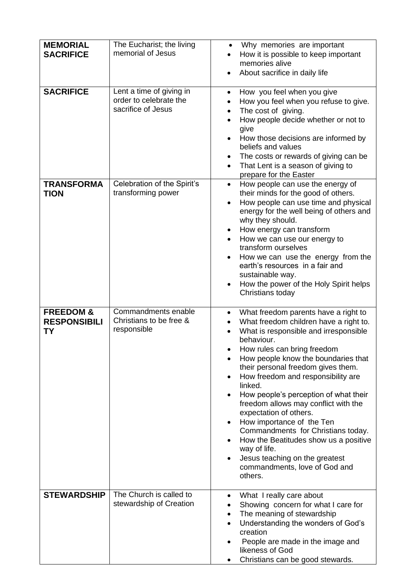| <b>MEMORIAL</b><br><b>SACRIFICE</b>                      | The Eucharist; the living<br>memorial of Jesus                           | Why memories are important<br>$\bullet$<br>How it is possible to keep important<br>memories alive<br>About sacrifice in daily life<br>$\bullet$                                                                                                                                                                                                                                                                                                                                                                                                                                                                                      |
|----------------------------------------------------------|--------------------------------------------------------------------------|--------------------------------------------------------------------------------------------------------------------------------------------------------------------------------------------------------------------------------------------------------------------------------------------------------------------------------------------------------------------------------------------------------------------------------------------------------------------------------------------------------------------------------------------------------------------------------------------------------------------------------------|
| <b>SACRIFICE</b>                                         | Lent a time of giving in<br>order to celebrate the<br>sacrifice of Jesus | How you feel when you give<br>$\bullet$<br>How you feel when you refuse to give.<br>The cost of giving.<br>$\bullet$<br>How people decide whether or not to<br>give<br>How those decisions are informed by<br>beliefs and values<br>The costs or rewards of giving can be<br>That Lent is a season of giving to<br>$\bullet$<br>prepare for the Easter                                                                                                                                                                                                                                                                               |
| <b>TRANSFORMA</b><br><b>TION</b>                         | Celebration of the Spirit's<br>transforming power                        | How people can use the energy of<br>$\bullet$<br>their minds for the good of others.<br>How people can use time and physical<br>$\bullet$<br>energy for the well being of others and<br>why they should.<br>How energy can transform<br>How we can use our energy to<br>transform ourselves<br>How we can use the energy from the<br>earth's resources in a fair and<br>sustainable way.<br>How the power of the Holy Spirit helps<br>Christians today                                                                                                                                                                               |
| <b>FREEDOM &amp;</b><br><b>RESPONSIBILI</b><br><b>TY</b> | Commandments enable<br>Christians to be free &<br>responsible            | What freedom parents have a right to<br>$\bullet$<br>What freedom children have a right to.<br>What is responsible and irresponsible<br>behaviour.<br>How rules can bring freedom<br>How people know the boundaries that<br>their personal freedom gives them.<br>How freedom and responsibility are<br>linked.<br>How people's perception of what their<br>freedom allows may conflict with the<br>expectation of others.<br>How importance of the Ten<br>Commandments for Christians today.<br>How the Beatitudes show us a positive<br>way of life.<br>Jesus teaching on the greatest<br>commandments, love of God and<br>others. |
| <b>STEWARDSHIP</b>                                       | The Church is called to<br>stewardship of Creation                       | What I really care about<br>٠<br>Showing concern for what I care for<br>The meaning of stewardship<br>Understanding the wonders of God's<br>creation<br>People are made in the image and<br>likeness of God<br>Christians can be good stewards.                                                                                                                                                                                                                                                                                                                                                                                      |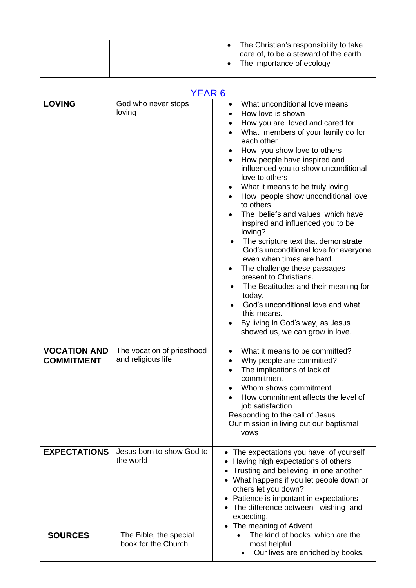| care of, to be a steward of the earth<br>The importance of ecology |
|--------------------------------------------------------------------|
|--------------------------------------------------------------------|

| <b>YEAR 6</b>                            |                                                  |                                                                                                                                                                                                                                                                                                                                                                                                                                                                                                                                                                                                                                                                                                                                                                                                                                           |
|------------------------------------------|--------------------------------------------------|-------------------------------------------------------------------------------------------------------------------------------------------------------------------------------------------------------------------------------------------------------------------------------------------------------------------------------------------------------------------------------------------------------------------------------------------------------------------------------------------------------------------------------------------------------------------------------------------------------------------------------------------------------------------------------------------------------------------------------------------------------------------------------------------------------------------------------------------|
| <b>LOVING</b>                            | God who never stops<br>loving                    | What unconditional love means<br>$\bullet$<br>How love is shown<br>How you are loved and cared for<br>What members of your family do for<br>each other<br>How you show love to others<br>How people have inspired and<br>influenced you to show unconditional<br>love to others<br>What it means to be truly loving<br>How people show unconditional love<br>to others<br>The beliefs and values which have<br>inspired and influenced you to be<br>loving?<br>The scripture text that demonstrate<br>$\bullet$<br>God's unconditional love for everyone<br>even when times are hard.<br>The challenge these passages<br>present to Christians.<br>The Beatitudes and their meaning for<br>$\bullet$<br>today.<br>God's unconditional love and what<br>this means.<br>By living in God's way, as Jesus<br>showed us, we can grow in love. |
| <b>VOCATION AND</b><br><b>COMMITMENT</b> | The vocation of priesthood<br>and religious life | What it means to be committed?<br>Why people are committed?<br>The implications of lack of<br>commitment<br>Whom shows commitment<br>How commitment affects the level of<br>job satisfaction<br>Responding to the call of Jesus<br>Our mission in living out our baptismal<br><b>VOWS</b>                                                                                                                                                                                                                                                                                                                                                                                                                                                                                                                                                 |
| <b>EXPECTATIONS</b>                      | Jesus born to show God to<br>the world           | • The expectations you have of yourself<br>Having high expectations of others<br>Trusting and believing in one another<br>• What happens if you let people down or<br>others let you down?<br>Patience is important in expectations<br>The difference between wishing and<br>expecting.<br>• The meaning of Advent                                                                                                                                                                                                                                                                                                                                                                                                                                                                                                                        |
| <b>SOURCES</b>                           | The Bible, the special<br>book for the Church    | The kind of books which are the<br>most helpful<br>Our lives are enriched by books.                                                                                                                                                                                                                                                                                                                                                                                                                                                                                                                                                                                                                                                                                                                                                       |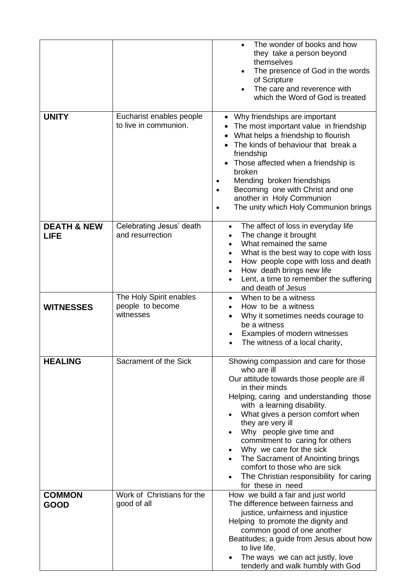|                                       |                                                          | The wonder of books and how<br>they take a person beyond<br>themselves<br>The presence of God in the words<br>of Scripture<br>The care and reverence with<br>which the Word of God is treated                                                                                                                                                                                                                                                                                           |
|---------------------------------------|----------------------------------------------------------|-----------------------------------------------------------------------------------------------------------------------------------------------------------------------------------------------------------------------------------------------------------------------------------------------------------------------------------------------------------------------------------------------------------------------------------------------------------------------------------------|
| <b>UNITY</b>                          | Eucharist enables people<br>to live in communion.        | • Why friendships are important<br>The most important value in friendship<br>What helps a friendship to flourish<br>The kinds of behaviour that break a<br>friendship<br>Those affected when a friendship is<br>broken<br>Mending broken friendships<br>$\bullet$<br>Becoming one with Christ and one<br>$\bullet$<br>another in Holy Communion<br>The unity which Holy Communion brings<br>$\bullet$                                                                                   |
| <b>DEATH &amp; NEW</b><br><b>LIFE</b> | Celebrating Jesus' death<br>and resurrection             | The affect of loss in everyday life<br>$\bullet$<br>The change it brought<br>What remained the same<br>What is the best way to cope with loss<br>How people cope with loss and death<br>How death brings new life<br>$\bullet$<br>Lent, a time to remember the suffering<br>and death of Jesus                                                                                                                                                                                          |
| <b>WITNESSES</b>                      | The Holy Spirit enables<br>people to become<br>witnesses | When to be a witness<br>٠<br>How to be a witness<br>Why it sometimes needs courage to<br>be a witness<br>Examples of modern witnesses<br>The witness of a local charity,                                                                                                                                                                                                                                                                                                                |
| <b>HEALING</b>                        | Sacrament of the Sick                                    | Showing compassion and care for those<br>who are ill<br>Our attitude towards those people are ill<br>in their minds<br>Helping, caring and understanding those<br>with a learning disability.<br>What gives a person comfort when<br>they are very ill<br>Why people give time and<br>commitment to caring for others<br>Why we care for the sick<br>The Sacrament of Anointing brings<br>comfort to those who are sick<br>The Christian responsibility for caring<br>for these in need |
| <b>COMMON</b><br><b>GOOD</b>          | Work of Christians for the<br>good of all                | How we build a fair and just world<br>The difference between fairness and<br>justice, unfairness and injustice<br>Helping to promote the dignity and<br>common good of one another<br>Beatitudes; a guide from Jesus about how<br>to live life.<br>The ways we can act justly, love<br>tenderly and walk humbly with God                                                                                                                                                                |